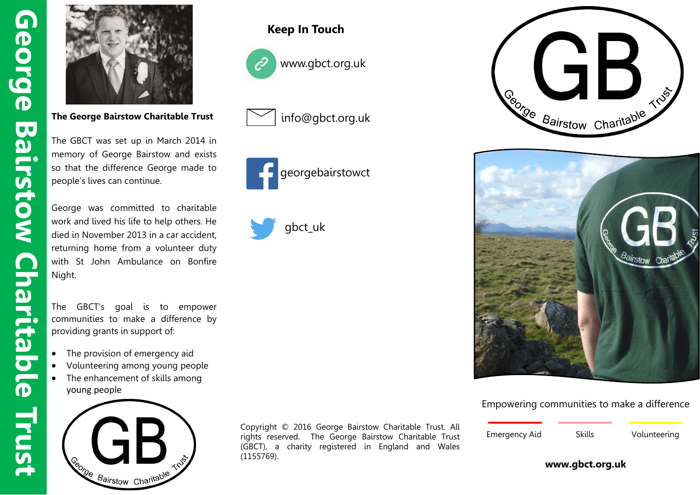

**The George Bairstow Charitable Trust** 

The GBCT was set up in March 2014 in memory of George Bairstow and exists so that the difference George made to people's lives can continue.

George was committed to charitable work and lived his life to help others. He died in November 2013 in a car accident, returning home from a volunteer duty with St John Ambulance on Bonfire Night.

The GBCT's goal is to empower communities to make a difference by providing grants in support of:

- The provision of emergency aid
- Volunteering among young people
- The enhancement of skills among young people



## **Keep In Touch**



www.gbct.org.uk



info@gbct.org.uk









Empowering communities to make a difference

| <b>Emergency Aid</b> | Skills | Volunteering |
|----------------------|--------|--------------|

#### **www.gbct.org.uk**

Copyright © 2016 George Bairstow Charitable Trust. All rights reserved. The George Bairstow Charitable Trust (GBCT), a charity registered in England and Wales (1155769).